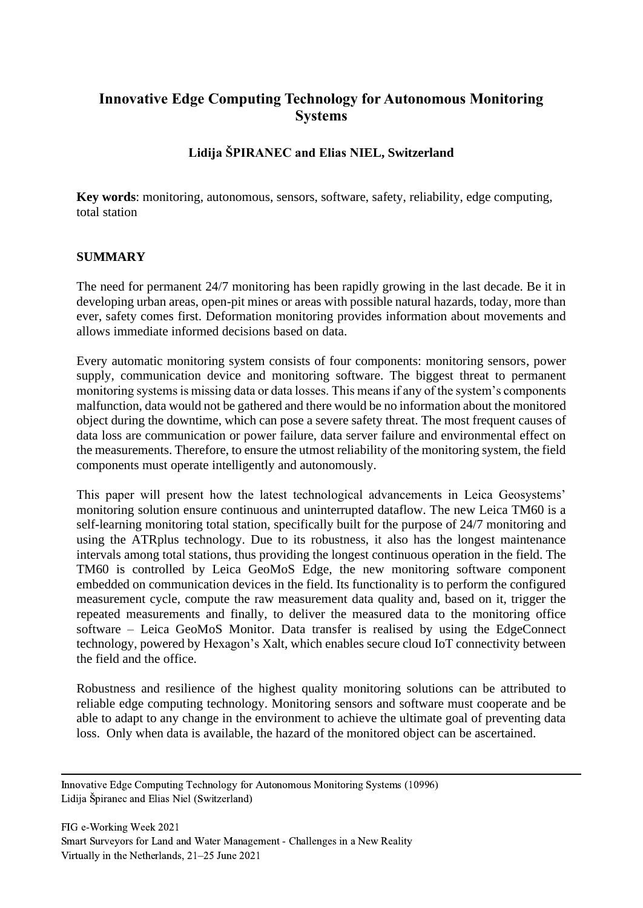# **Innovative Edge Computing Technology for Autonomous Monitoring Systems**

## **Lidija ŠPIRANEC and Elias NIEL, Switzerland**

**Key words**: monitoring, autonomous, sensors, software, safety, reliability, edge computing, total station

### **SUMMARY**

The need for permanent 24/7 monitoring has been rapidly growing in the last decade. Be it in developing urban areas, open-pit mines or areas with possible natural hazards, today, more than ever, safety comes first. Deformation monitoring provides information about movements and allows immediate informed decisions based on data.

Every automatic monitoring system consists of four components: monitoring sensors, power supply, communication device and monitoring software. The biggest threat to permanent monitoring systems is missing data or data losses. This means if any of the system's components malfunction, data would not be gathered and there would be no information about the monitored object during the downtime, which can pose a severe safety threat. The most frequent causes of data loss are communication or power failure, data server failure and environmental effect on the measurements. Therefore, to ensure the utmost reliability of the monitoring system, the field components must operate intelligently and autonomously.

This paper will present how the latest technological advancements in Leica Geosystems' monitoring solution ensure continuous and uninterrupted dataflow. The new Leica TM60 is a self-learning monitoring total station, specifically built for the purpose of 24/7 monitoring and using the ATRplus technology. Due to its robustness, it also has the longest maintenance intervals among total stations, thus providing the longest continuous operation in the field. The TM60 is controlled by Leica GeoMoS Edge, the new monitoring software component embedded on communication devices in the field. Its functionality is to perform the configured measurement cycle, compute the raw measurement data quality and, based on it, trigger the repeated measurements and finally, to deliver the measured data to the monitoring office software – Leica GeoMoS Monitor. Data transfer is realised by using the EdgeConnect technology, powered by Hexagon's Xalt, which enables secure cloud IoT connectivity between the field and the office.

Robustness and resilience of the highest quality monitoring solutions can be attributed to reliable edge computing technology. Monitoring sensors and software must cooperate and be able to adapt to any change in the environment to achieve the ultimate goal of preventing data loss. Only when data is available, the hazard of the monitored object can be ascertained.

Innovative Edge Computing Technology for Autonomous Monitoring Systems (10996) Lidija Špiranec and Elias Niel (Switzerland)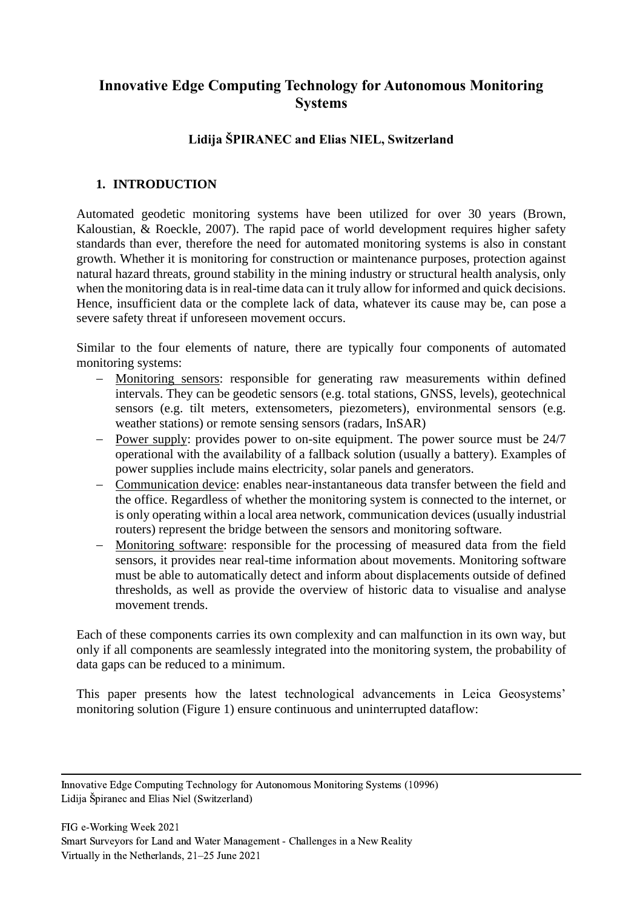# **Innovative Edge Computing Technology for Autonomous Monitoring Systems**

# **Lidija ŠPIRANEC and Elias NIEL, Switzerland**

### **1. INTRODUCTION**

Automated geodetic monitoring systems have been utilized for over 30 years (Brown, Kaloustian, & Roeckle, 2007). The rapid pace of world development requires higher safety standards than ever, therefore the need for automated monitoring systems is also in constant growth. Whether it is monitoring for construction or maintenance purposes, protection against natural hazard threats, ground stability in the mining industry or structural health analysis, only when the monitoring data is in real-time data can it truly allow for informed and quick decisions. Hence, insufficient data or the complete lack of data, whatever its cause may be, can pose a severe safety threat if unforeseen movement occurs.

Similar to the four elements of nature, there are typically four components of automated monitoring systems:

- − Monitoring sensors: responsible for generating raw measurements within defined intervals. They can be geodetic sensors (e.g. total stations, GNSS, levels), geotechnical sensors (e.g. tilt meters, extensometers, piezometers), environmental sensors (e.g. weather stations) or remote sensing sensors (radars, InSAR)
- − Power supply: provides power to on-site equipment. The power source must be 24/7 operational with the availability of a fallback solution (usually a battery). Examples of power supplies include mains electricity, solar panels and generators.
- − Communication device: enables near-instantaneous data transfer between the field and the office. Regardless of whether the monitoring system is connected to the internet, or is only operating within a local area network, communication devices (usually industrial routers) represent the bridge between the sensors and monitoring software.
- − Monitoring software: responsible for the processing of measured data from the field sensors, it provides near real-time information about movements. Monitoring software must be able to automatically detect and inform about displacements outside of defined thresholds, as well as provide the overview of historic data to visualise and analyse movement trends.

Each of these components carries its own complexity and can malfunction in its own way, but only if all components are seamlessly integrated into the monitoring system, the probability of data gaps can be reduced to a minimum.

This paper presents how the latest technological advancements in Leica Geosystems' monitoring solution (Figure 1) ensure continuous and uninterrupted dataflow:

Innovative Edge Computing Technology for Autonomous Monitoring Systems (10996) Lidija Špiranec and Elias Niel (Switzerland)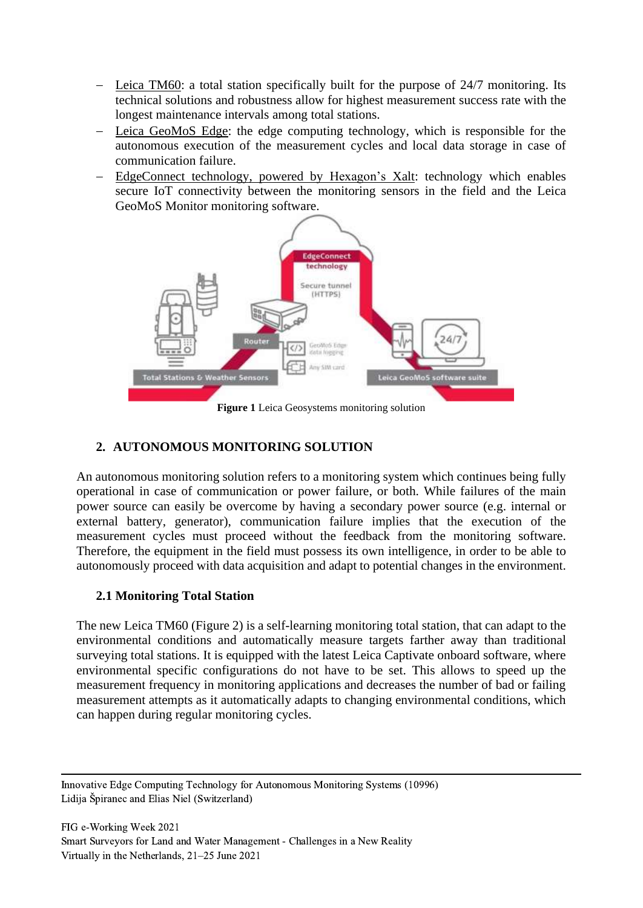- − Leica TM60: a total station specifically built for the purpose of 24/7 monitoring. Its technical solutions and robustness allow for highest measurement success rate with the longest maintenance intervals among total stations.
- − Leica GeoMoS Edge: the edge computing technology, which is responsible for the autonomous execution of the measurement cycles and local data storage in case of communication failure.
- − EdgeConnect technology, powered by Hexagon's Xalt: technology which enables secure IoT connectivity between the monitoring sensors in the field and the Leica GeoMoS Monitor monitoring software.



**Figure 1** Leica Geosystems monitoring solution

# **2. AUTONOMOUS MONITORING SOLUTION**

An autonomous monitoring solution refers to a monitoring system which continues being fully operational in case of communication or power failure, or both. While failures of the main power source can easily be overcome by having a secondary power source (e.g. internal or external battery, generator), communication failure implies that the execution of the measurement cycles must proceed without the feedback from the monitoring software. Therefore, the equipment in the field must possess its own intelligence, in order to be able to autonomously proceed with data acquisition and adapt to potential changes in the environment.

## **2.1 Monitoring Total Station**

The new Leica TM60 (Figure 2) is a self-learning monitoring total station, that can adapt to the environmental conditions and automatically measure targets farther away than traditional surveying total stations. It is equipped with the latest Leica Captivate onboard software, where environmental specific configurations do not have to be set. This allows to speed up the measurement frequency in monitoring applications and decreases the number of bad or failing measurement attempts as it automatically adapts to changing environmental conditions, which can happen during regular monitoring cycles.

Innovative Edge Computing Technology for Autonomous Monitoring Systems (10996) Lidija Špiranec and Elias Niel (Switzerland)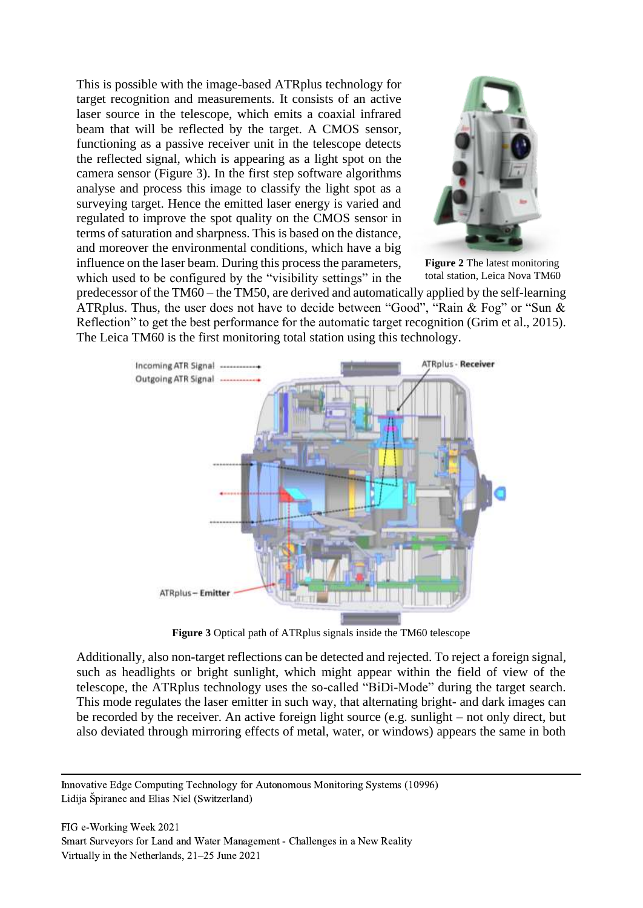This is possible with the image-based ATRplus technology for target recognition and measurements*.* It consists of an active laser source in the telescope, which emits a coaxial infrared beam that will be reflected by the target. A CMOS sensor, functioning as a passive receiver unit in the telescope detects the reflected signal, which is appearing as a light spot on the camera sensor (Figure 3). In the first step software algorithms analyse and process this image to classify the light spot as a surveying target. Hence the emitted laser energy is varied and regulated to improve the spot quality on the CMOS sensor in terms of saturation and sharpness. This is based on the distance, and moreover the environmental conditions, which have a big influence on the laser beam. During this process the parameters, which used to be configured by the "visibility settings" in the



**Figure 2** The latest monitoring total station, Leica Nova TM60

predecessor of the TM60 – the TM50, are derived and automatically applied by the self-learning ATRplus. Thus, the user does not have to decide between "Good", "Rain & Fog" or "Sun & Reflection" to get the best performance for the automatic target recognition (Grim et al., 2015). The Leica TM60 is the first monitoring total station using this technology.



**Figure 3** Optical path of ATRplus signals inside the TM60 telescope

Additionally, also non-target reflections can be detected and rejected. To reject a foreign signal, such as headlights or bright sunlight, which might appear within the field of view of the telescope, the ATRplus technology uses the so-called "BiDi-Mode" during the target search. This mode regulates the laser emitter in such way, that alternating bright- and dark images can be recorded by the receiver. An active foreign light source (e.g. sunlight – not only direct, but also deviated through mirroring effects of metal, water, or windows) appears the same in both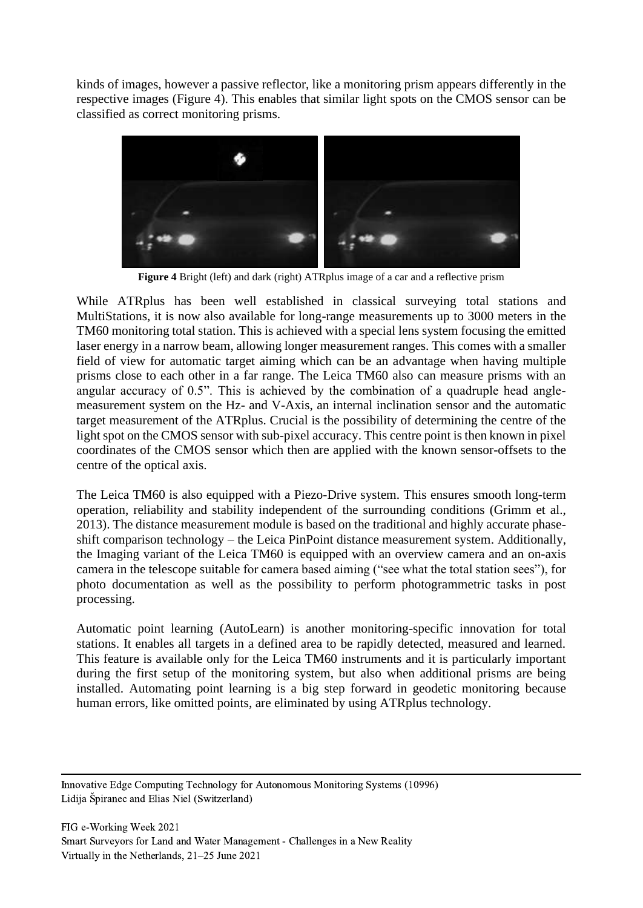kinds of images, however a passive reflector, like a monitoring prism appears differently in the respective images (Figure 4). This enables that similar light spots on the CMOS sensor can be classified as correct monitoring prisms.



**Figure 4** Bright (left) and dark (right) ATRplus image of a car and a reflective prism

While ATRplus has been well established in classical surveying total stations and MultiStations, it is now also available for long-range measurements up to 3000 meters in the TM60 monitoring total station. This is achieved with a special lens system focusing the emitted laser energy in a narrow beam, allowing longer measurement ranges. This comes with a smaller field of view for automatic target aiming which can be an advantage when having multiple prisms close to each other in a far range. The Leica TM60 also can measure prisms with an angular accuracy of 0.5". This is achieved by the combination of a quadruple head anglemeasurement system on the Hz- and V-Axis, an internal inclination sensor and the automatic target measurement of the ATRplus. Crucial is the possibility of determining the centre of the light spot on the CMOS sensor with sub-pixel accuracy. This centre point is then known in pixel coordinates of the CMOS sensor which then are applied with the known sensor-offsets to the centre of the optical axis.

The Leica TM60 is also equipped with a Piezo-Drive system. This ensures smooth long-term operation, reliability and stability independent of the surrounding conditions (Grimm et al., 2013). The distance measurement module is based on the traditional and highly accurate phaseshift comparison technology – the Leica PinPoint distance measurement system. Additionally, the Imaging variant of the Leica TM60 is equipped with an overview camera and an on-axis camera in the telescope suitable for camera based aiming ("see what the total station sees"), for photo documentation as well as the possibility to perform photogrammetric tasks in post processing.

Automatic point learning (AutoLearn) is another monitoring-specific innovation for total stations. It enables all targets in a defined area to be rapidly detected, measured and learned. This feature is available only for the Leica TM60 instruments and it is particularly important during the first setup of the monitoring system, but also when additional prisms are being installed. Automating point learning is a big step forward in geodetic monitoring because human errors, like omitted points, are eliminated by using ATRplus technology.

Innovative Edge Computing Technology for Autonomous Monitoring Systems (10996) Lidija Špiranec and Elias Niel (Switzerland)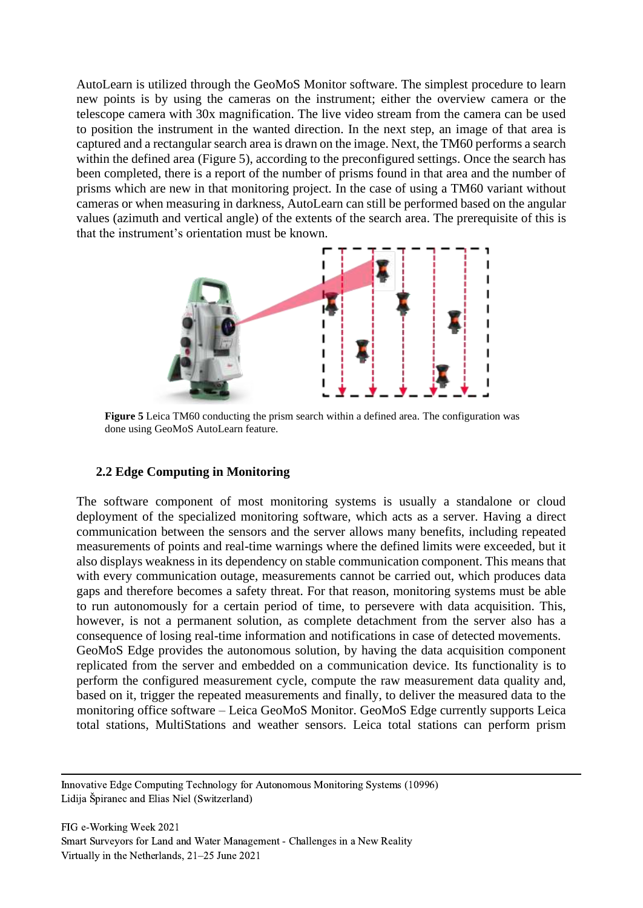AutoLearn is utilized through the GeoMoS Monitor software. The simplest procedure to learn new points is by using the cameras on the instrument; either the overview camera or the telescope camera with 30x magnification. The live video stream from the camera can be used to position the instrument in the wanted direction. In the next step, an image of that area is captured and a rectangular search area is drawn on the image. Next, the TM60 performs a search within the defined area (Figure 5), according to the preconfigured settings. Once the search has been completed, there is a report of the number of prisms found in that area and the number of prisms which are new in that monitoring project. In the case of using a TM60 variant without cameras or when measuring in darkness, AutoLearn can still be performed based on the angular values (azimuth and vertical angle) of the extents of the search area. The prerequisite of this is that the instrument's orientation must be known.



done using GeoMoS AutoLearn feature. **Figure 5** Leica TM60 conducting the prism search within a defined area. The configuration was

#### **2.2 Edge Computing in Monitoring**

The software component of most monitoring systems is usually a standalone or cloud deployment of the specialized monitoring software, which acts as a server. Having a direct communication between the sensors and the server allows many benefits, including repeated measurements of points and real-time warnings where the defined limits were exceeded, but it also displays weakness in its dependency on stable communication component. This means that with every communication outage, measurements cannot be carried out, which produces data gaps and therefore becomes a safety threat. For that reason, monitoring systems must be able to run autonomously for a certain period of time, to persevere with data acquisition. This, however, is not a permanent solution, as complete detachment from the server also has a consequence of losing real-time information and notifications in case of detected movements. GeoMoS Edge provides the autonomous solution, by having the data acquisition component replicated from the server and embedded on a communication device. Its functionality is to perform the configured measurement cycle, compute the raw measurement data quality and, based on it, trigger the repeated measurements and finally, to deliver the measured data to the monitoring office software – Leica GeoMoS Monitor. GeoMoS Edge currently supports Leica total stations, MultiStations and weather sensors. Leica total stations can perform prism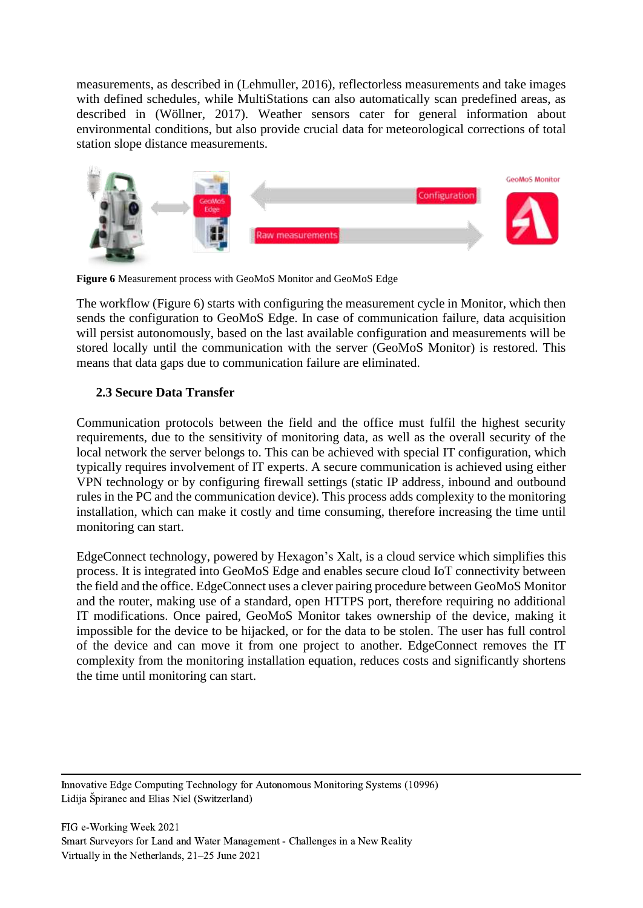measurements, as described in (Lehmuller, 2016), reflectorless measurements and take images with defined schedules, while MultiStations can also automatically scan predefined areas, as described in (Wöllner, 2017). Weather sensors cater for general information about environmental conditions, but also provide crucial data for meteorological corrections of total station slope distance measurements.



**Figure 6** Measurement process with GeoMoS Monitor and GeoMoS Edge

The workflow (Figure 6) starts with configuring the measurement cycle in Monitor, which then sends the configuration to GeoMoS Edge. In case of communication failure, data acquisition will persist autonomously, based on the last available configuration and measurements will be stored locally until the communication with the server (GeoMoS Monitor) is restored. This means that data gaps due to communication failure are eliminated.

# **2.3 Secure Data Transfer**

Communication protocols between the field and the office must fulfil the highest security requirements, due to the sensitivity of monitoring data, as well as the overall security of the local network the server belongs to. This can be achieved with special IT configuration, which typically requires involvement of IT experts. A secure communication is achieved using either VPN technology or by configuring firewall settings (static IP address, inbound and outbound rules in the PC and the communication device). This process adds complexity to the monitoring installation, which can make it costly and time consuming, therefore increasing the time until monitoring can start.

EdgeConnect technology, powered by Hexagon's Xalt, is a cloud service which simplifies this process. It is integrated into GeoMoS Edge and enables secure cloud IoT connectivity between the field and the office. EdgeConnect uses a clever pairing procedure between GeoMoS Monitor and the router, making use of a standard, open HTTPS port, therefore requiring no additional IT modifications. Once paired, GeoMoS Monitor takes ownership of the device, making it impossible for the device to be hijacked, or for the data to be stolen. The user has full control of the device and can move it from one project to another. EdgeConnect removes the IT complexity from the monitoring installation equation, reduces costs and significantly shortens the time until monitoring can start.

Innovative Edge Computing Technology for Autonomous Monitoring Systems (10996) Lidija Špiranec and Elias Niel (Switzerland)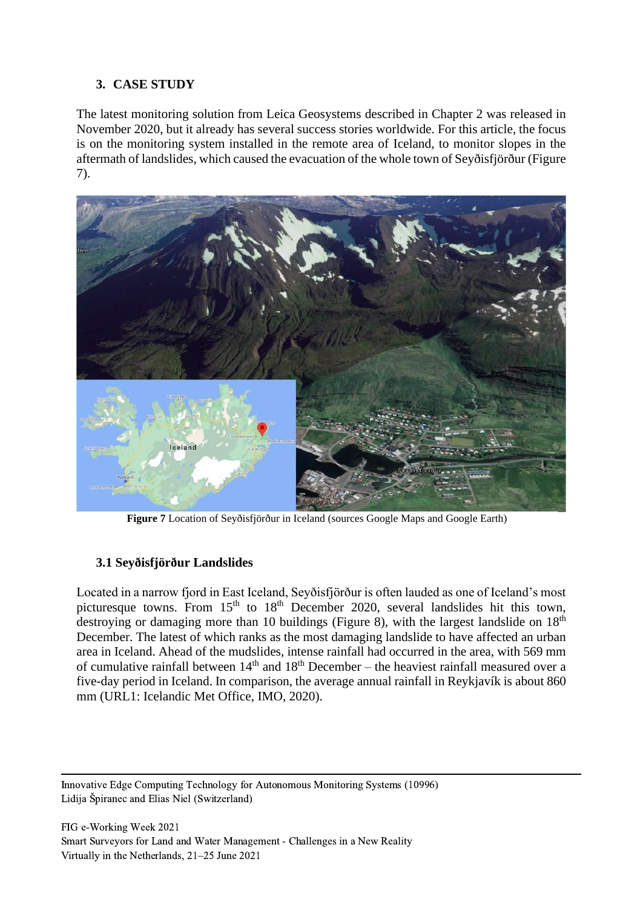### **3. CASE STUDY**

The latest monitoring solution from Leica Geosystems described in Chapter 2 was released in November 2020, but it already has several success stories worldwide. For this article, the focus is on the monitoring system installed in the remote area of Iceland, to monitor slopes in the aftermath of landslides, which caused the evacuation of the whole town of Seyðisfjörður (Figure 7).



**Figure 7** Location of Seyðisfjörður in Iceland (sources Google Maps and Google Earth)

## **3.1 Seyðisfjörður Landslides**

Located in a narrow fjord in East Iceland, Seyðisfjörður is often lauded as one of Iceland's most picturesque towns. From  $15<sup>th</sup>$  to  $18<sup>th</sup>$  December 2020, several landslides hit this town, destroying or damaging more than 10 buildings (Figure 8), with the largest landslide on  $18<sup>th</sup>$ December. The latest of which ranks as the most damaging landslide to have affected an urban area in Iceland. Ahead of the mudslides, intense rainfall had occurred in the area, with 569 mm of cumulative rainfall between  $14<sup>th</sup>$  and  $18<sup>th</sup>$  December – the heaviest rainfall measured over a five-day period in Iceland. In comparison, the average annual rainfall in Reykjavík is about 860 mm (URL1: Icelandic Met Office, IMO, 2020).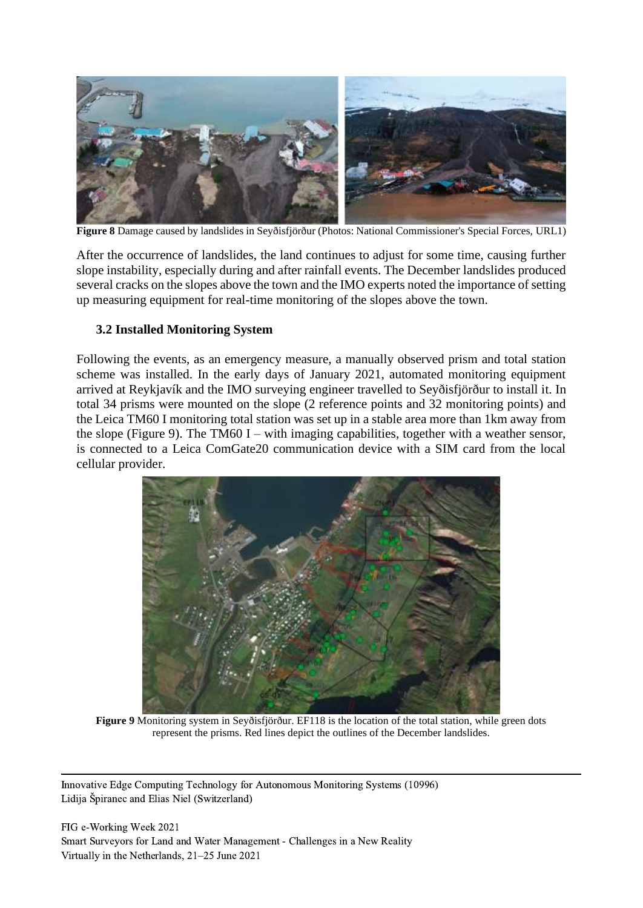

**Figure 8** Damage caused by landslides in Seyðisfjörður (Photos: National Commissioner's Special Forces, URL1)

After the occurrence of landslides, the land continues to adjust for some time, causing further slope instability, especially during and after rainfall events. The December landslides produced several cracks on the slopes above the town and the IMO experts noted the importance of setting up measuring equipment for real-time monitoring of the slopes above the town.

### **3.2 Installed Monitoring System**

Following the events, as an emergency measure, a manually observed prism and total station scheme was installed. In the early days of January 2021, automated monitoring equipment arrived at Reykjavík and the IMO surveying engineer travelled to Seyðisfjörður to install it. In total 34 prisms were mounted on the slope (2 reference points and 32 monitoring points) and the Leica TM60 I monitoring total station was set up in a stable area more than 1km away from the slope (Figure 9). The TM60 I – with imaging capabilities, together with a weather sensor, is connected to a Leica ComGate20 communication device with a SIM card from the local cellular provider.



**Figure 9** Monitoring system in Seyðisfjörður. EF118 is the location of the total station, while green dots represent the prisms. Red lines depict the outlines of the December landslides.

Innovative Edge Computing Technology for Autonomous Monitoring Systems (10996) Lidija Špiranec and Elias Niel (Switzerland)

FIG e-Working Week 2021 Smart Surveyors for Land and Water Management - Challenges in a New Reality Virtually in the Netherlands, 21–25 June 2021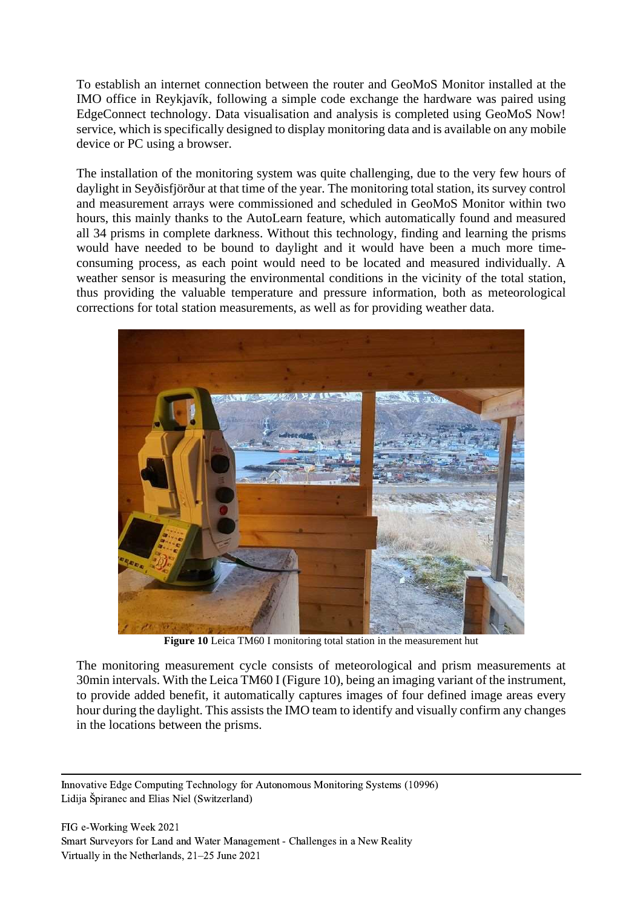To establish an internet connection between the router and GeoMoS Monitor installed at the IMO office in Reykjavík, following a simple code exchange the hardware was paired using EdgeConnect technology. Data visualisation and analysis is completed using GeoMoS Now! service, which is specifically designed to display monitoring data and is available on any mobile device or PC using a browser.

The installation of the monitoring system was quite challenging, due to the very few hours of daylight in Seyðisfjörður at that time of the year. The monitoring total station, its survey control and measurement arrays were commissioned and scheduled in GeoMoS Monitor within two hours, this mainly thanks to the AutoLearn feature, which automatically found and measured all 34 prisms in complete darkness. Without this technology, finding and learning the prisms would have needed to be bound to daylight and it would have been a much more timeconsuming process, as each point would need to be located and measured individually. A weather sensor is measuring the environmental conditions in the vicinity of the total station, thus providing the valuable temperature and pressure information, both as meteorological corrections for total station measurements, as well as for providing weather data.



**Figure 10** Leica TM60 I monitoring total station in the measurement hut

The monitoring measurement cycle consists of meteorological and prism measurements at 30min intervals. With the Leica TM60 I (Figure 10), being an imaging variant of the instrument, to provide added benefit, it automatically captures images of four defined image areas every hour during the daylight. This assists the IMO team to identify and visually confirm any changes in the locations between the prisms.

Innovative Edge Computing Technology for Autonomous Monitoring Systems (10996) Lidija Špiranec and Elias Niel (Switzerland)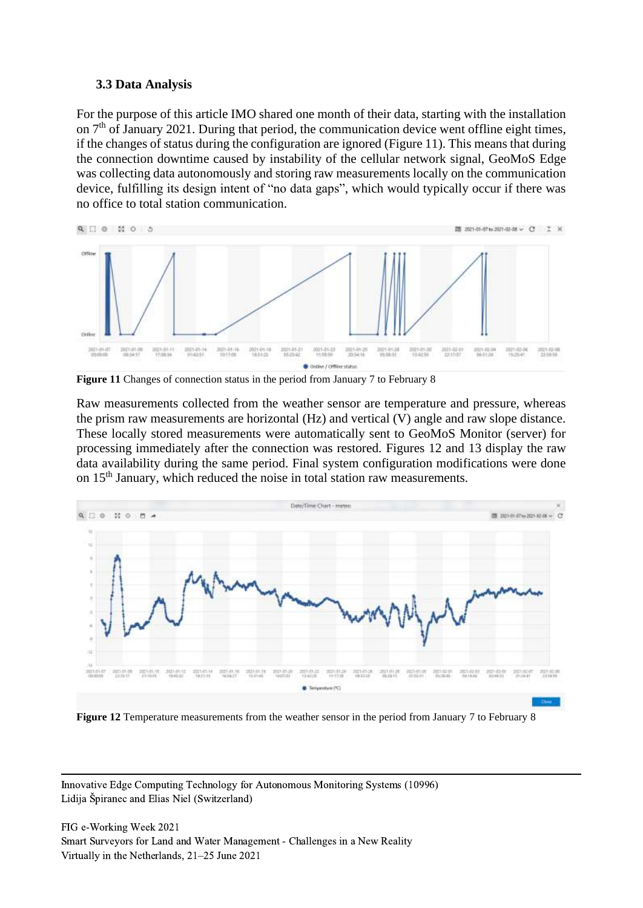#### **3.3 Data Analysis**

For the purpose of this article IMO shared one month of their data, starting with the installation on  $7<sup>th</sup>$  of January 2021. During that period, the communication device went offline eight times, if the changes of status during the configuration are ignored (Figure 11). This means that during the connection downtime caused by instability of the cellular network signal, GeoMoS Edge was collecting data autonomously and storing raw measurements locally on the communication device, fulfilling its design intent of "no data gaps", which would typically occur if there was no office to total station communication.



**Figure 11** Changes of connection status in the period from January 7 to February 8

Raw measurements collected from the weather sensor are temperature and pressure, whereas the prism raw measurements are horizontal (Hz) and vertical (V) angle and raw slope distance. These locally stored measurements were automatically sent to GeoMoS Monitor (server) for processing immediately after the connection was restored. Figures 12 and 13 display the raw data availability during the same period. Final system configuration modifications were done on 15<sup>th</sup> January, which reduced the noise in total station raw measurements.



**Figure 12** Temperature measurements from the weather sensor in the period from January 7 to February 8

Innovative Edge Computing Technology for Autonomous Monitoring Systems (10996) Lidija Špiranec and Elias Niel (Switzerland)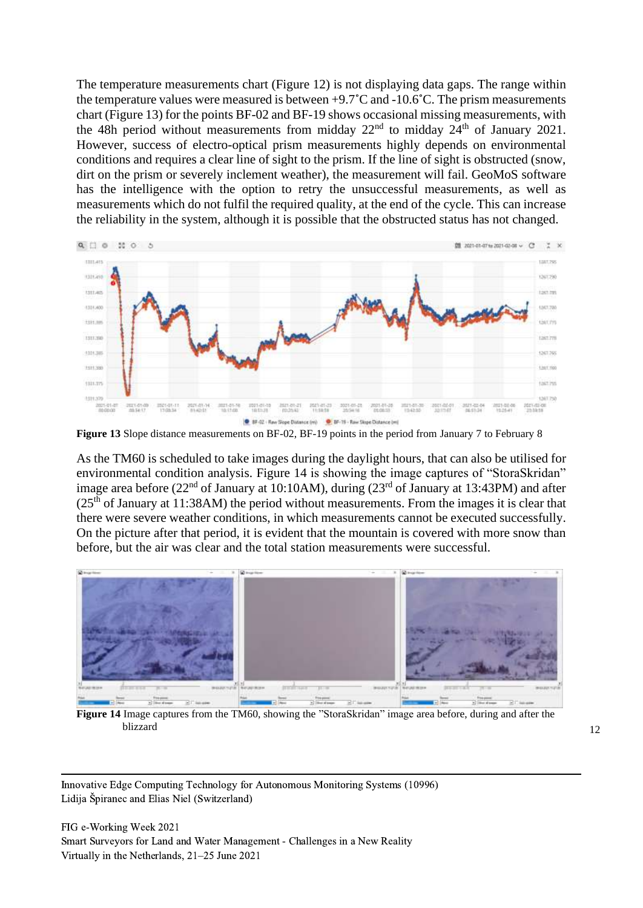The temperature measurements chart (Figure 12) is not displaying data gaps. The range within the temperature values were measured is between +9.7˚C and -10.6˚C. The prism measurements chart (Figure 13) for the points BF-02 and BF-19 shows occasional missing measurements, with the 48h period without measurements from midday  $22<sup>nd</sup>$  to midday  $24<sup>th</sup>$  of January 2021. However, success of electro-optical prism measurements highly depends on environmental conditions and requires a clear line of sight to the prism. If the line of sight is obstructed (snow, dirt on the prism or severely inclement weather), the measurement will fail. GeoMoS software has the intelligence with the option to retry the unsuccessful measurements, as well as measurements which do not fulfil the required quality, at the end of the cycle. This can increase the reliability in the system, although it is possible that the obstructed status has not changed.



**Figure 13** Slope distance measurements on BF-02, BF-19 points in the period from January 7 to February 8

As the TM60 is scheduled to take images during the daylight hours, that can also be utilised for environmental condition analysis. Figure 14 is showing the image captures of "StoraSkridan" image area before ( $22<sup>nd</sup>$  of January at 10:10AM), during ( $23<sup>rd</sup>$  of January at 13:43PM) and after  $(25<sup>th</sup>$  of January at 11:38AM) the period without measurements. From the images it is clear that there were severe weather conditions, in which measurements cannot be executed successfully. On the picture after that period, it is evident that the mountain is covered with more snow than before, but the air was clear and the total station measurements were successful.



**Figure 14** Image captures from the TM60, showing the "StoraSkridan" image area before, during and after the blizzard and the contract of the contract of the contract of the contract of the contract of the contract of the contract of the contract of the contract of the contract of the contract of the contract of the contract of t

Innovative Edge Computing Technology for Autonomous Monitoring Systems (10996) Lidija Špiranec and Elias Niel (Switzerland)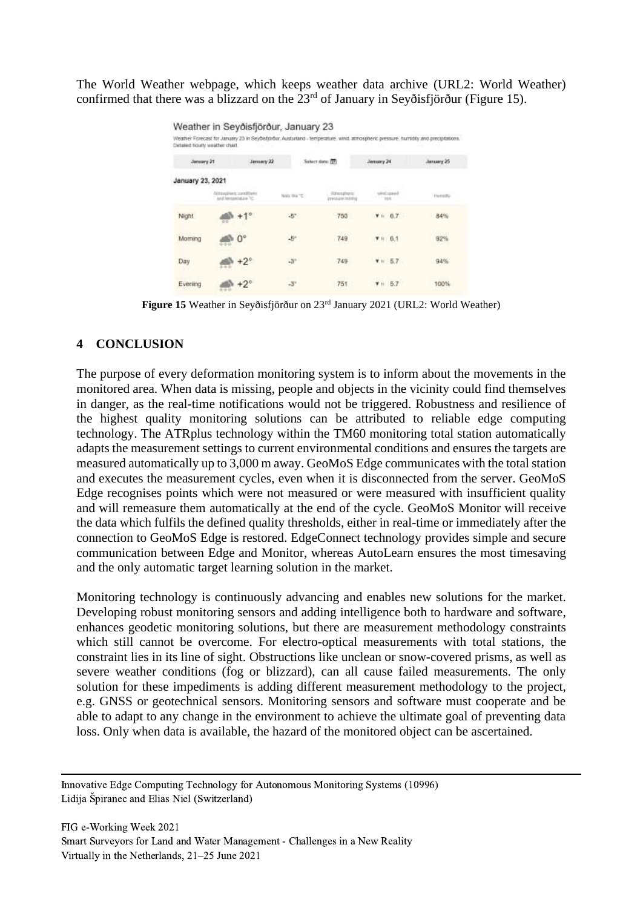The World Weather webpage, which keeps weather data archive (URL2: World Weather) confirmed that there was a blizzard on the  $23<sup>rd</sup>$  of January in Seyðisfjörður (Figure 15).

| Detailed hourly weather chart. |                                             |                | Weather in Seyðisfjörður, January 23 |                                    |                   |           | Weather Forecast for January 25 in Seybeltorour. Austuriand - temperature, wind, atmospheric pressure, humdity and precipitations. |
|--------------------------------|---------------------------------------------|----------------|--------------------------------------|------------------------------------|-------------------|-----------|------------------------------------------------------------------------------------------------------------------------------------|
| January 21                     |                                             | January 22     | Salact date: [77]                    |                                    | Jensory 24        |           | January 25                                                                                                                         |
| January 23, 2021               |                                             |                |                                      |                                    |                   |           |                                                                                                                                    |
|                                | Almostrario conditioni<br>O' exploration to |                | Newla Kike 10 -                      | Altracyginate.<br>precedes mention | hange from        |           | <b>Hammer</b>                                                                                                                      |
| Night                          |                                             | e              | $-5^{\circ}$                         | 750                                | $V = 6.7$         |           | 84%                                                                                                                                |
| Moming                         |                                             | 0 <sup>°</sup> | $-5^{\circ}$                         | 749                                | $T$ $\approx$ 6.1 |           |                                                                                                                                    |
| Day                            |                                             |                | $-3$ <sup>*</sup>                    | 749                                |                   | $Y = 6.7$ | 94%                                                                                                                                |
| Evening                        |                                             |                |                                      | 751                                |                   |           | 100%                                                                                                                               |

**Figure 15** Weather in Seyðisfjörður on 23rd January 2021 (URL2: World Weather)

#### **4 CONCLUSION**

The purpose of every deformation monitoring system is to inform about the movements in the monitored area. When data is missing, people and objects in the vicinity could find themselves in danger, as the real-time notifications would not be triggered. Robustness and resilience of the highest quality monitoring solutions can be attributed to reliable edge computing technology. The ATRplus technology within the TM60 monitoring total station automatically adapts the measurement settings to current environmental conditions and ensures the targets are measured automatically up to 3,000 m away. GeoMoS Edge communicates with the total station and executes the measurement cycles, even when it is disconnected from the server. GeoMoS Edge recognises points which were not measured or were measured with insufficient quality and will remeasure them automatically at the end of the cycle. GeoMoS Monitor will receive the data which fulfils the defined quality thresholds, either in real-time or immediately after the connection to GeoMoS Edge is restored. EdgeConnect technology provides simple and secure communication between Edge and Monitor, whereas AutoLearn ensures the most timesaving and the only automatic target learning solution in the market.

Monitoring technology is continuously advancing and enables new solutions for the market. Developing robust monitoring sensors and adding intelligence both to hardware and software, enhances geodetic monitoring solutions, but there are measurement methodology constraints which still cannot be overcome. For electro-optical measurements with total stations, the constraint lies in its line of sight. Obstructions like unclean or snow-covered prisms, as well as severe weather conditions (fog or blizzard), can all cause failed measurements. The only solution for these impediments is adding different measurement methodology to the project, e.g. GNSS or geotechnical sensors. Monitoring sensors and software must cooperate and be able to adapt to any change in the environment to achieve the ultimate goal of preventing data loss. Only when data is available, the hazard of the monitored object can be ascertained.

Innovative Edge Computing Technology for Autonomous Monitoring Systems (10996) Lidija Špiranec and Elias Niel (Switzerland)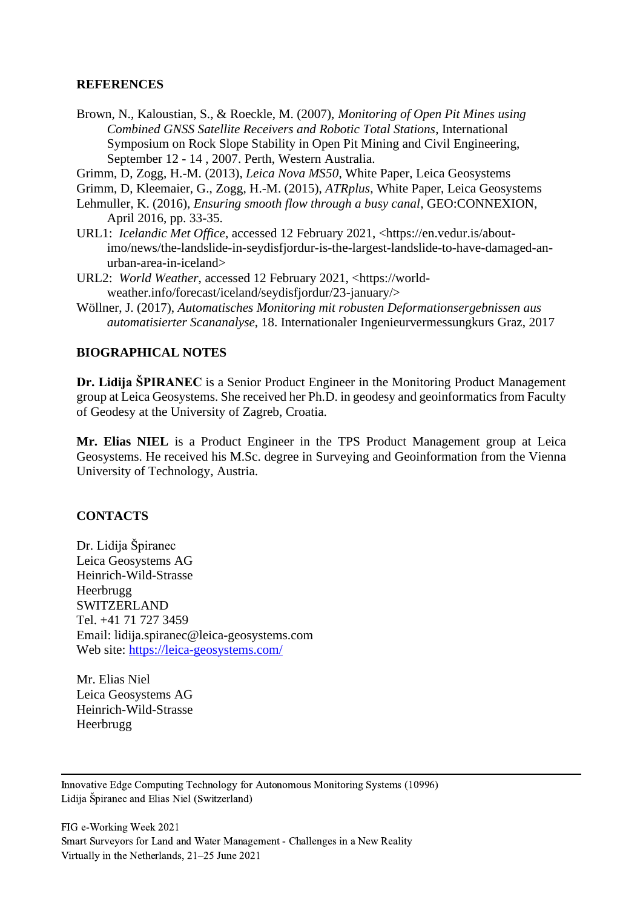#### **REFERENCES**

- Brown, N., Kaloustian, S., & Roeckle, M. (2007), *Monitoring of Open Pit Mines using Combined GNSS Satellite Receivers and Robotic Total Stations*, International Symposium on Rock Slope Stability in Open Pit Mining and Civil Engineering, September 12 - 14 , 2007. Perth, Western Australia.
- Grimm, D, Zogg, H.-M. (2013), *Leica Nova MS50*, White Paper, Leica Geosystems
- Grimm, D, Kleemaier, G., Zogg, H.-M. (2015), *ATRplus*, White Paper, Leica Geosystems
- Lehmuller, K. (2016), *Ensuring smooth flow through a busy canal*, GEO:CONNEXION, April 2016, pp. 33-35.
- URL1: *Icelandic Met Office*, accessed 12 February 2021, [<https://en.vedur.is/about](https://en.vedur.is/about-imo/news/the-landslide-in-seydisfjordur-is-the-largest-landslide-to-have-damaged-an-urban-area-in-iceland)[imo/news/the-landslide-in-seydisfjordur-is-the-largest-landslide-to-have-damaged-an](https://en.vedur.is/about-imo/news/the-landslide-in-seydisfjordur-is-the-largest-landslide-to-have-damaged-an-urban-area-in-iceland)[urban-area-in-iceland>](https://en.vedur.is/about-imo/news/the-landslide-in-seydisfjordur-is-the-largest-landslide-to-have-damaged-an-urban-area-in-iceland)
- URL2: *World Weather*, accessed 12 February 2021, [<https://world](https://world-weather.info/forecast/iceland/seydisfjordur/23-january/)[weather.info/forecast/iceland/seydisfjordur/23-january/>](https://world-weather.info/forecast/iceland/seydisfjordur/23-january/)
- Wöllner, J. (2017), *Automatisches Monitoring mit robusten Deformationsergebnissen aus automatisierter Scananalyse*, 18. Internationaler Ingenieurvermessungkurs Graz, 2017

### **BIOGRAPHICAL NOTES**

**Dr. Lidija ŠPIRANEC** is a Senior Product Engineer in the Monitoring Product Management group at Leica Geosystems. She received her Ph.D. in geodesy and geoinformatics from Faculty of Geodesy at the University of Zagreb, Croatia.

**Mr. Elias NIEL** is a Product Engineer in the TPS Product Management group at Leica Geosystems. He received his M.Sc. degree in Surveying and Geoinformation from the Vienna University of Technology, Austria.

#### **CONTACTS**

Dr. Lidija Špiranec Leica Geosystems AG Heinrich-Wild-Strasse Heerbrugg SWITZERLAND Tel. +41 71 727 3459 Email: lidija.spiranec@leica-geosystems.com Web site:<https://leica-geosystems.com/>

Mr. Elias Niel Leica Geosystems AG Heinrich-Wild-Strasse Heerbrugg

Innovative Edge Computing Technology for Autonomous Monitoring Systems (10996) Lidija Špiranec and Elias Niel (Switzerland)